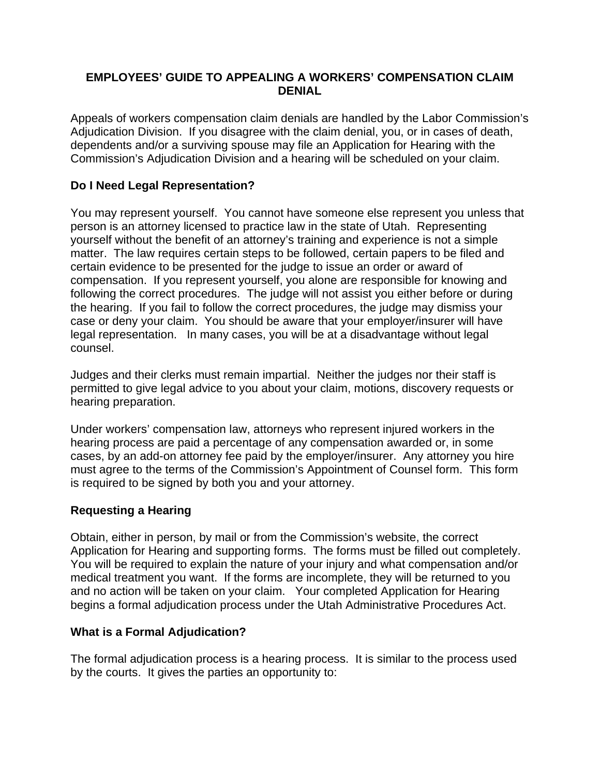### **EMPLOYEES' GUIDE TO APPEALING A WORKERS' COMPENSATION CLAIM DENIAL**

Appeals of workers compensation claim denials are handled by the Labor Commission's Adjudication Division. If you disagree with the claim denial, you, or in cases of death, dependents and/or a surviving spouse may file an Application for Hearing with the Commission's Adjudication Division and a hearing will be scheduled on your claim.

# **Do I Need Legal Representation?**

You may represent yourself. You cannot have someone else represent you unless that person is an attorney licensed to practice law in the state of Utah. Representing yourself without the benefit of an attorney's training and experience is not a simple matter. The law requires certain steps to be followed, certain papers to be filed and certain evidence to be presented for the judge to issue an order or award of compensation. If you represent yourself, you alone are responsible for knowing and following the correct procedures. The judge will not assist you either before or during the hearing. If you fail to follow the correct procedures, the judge may dismiss your case or deny your claim. You should be aware that your employer/insurer will have legal representation. In many cases, you will be at a disadvantage without legal counsel.

Judges and their clerks must remain impartial. Neither the judges nor their staff is permitted to give legal advice to you about your claim, motions, discovery requests or hearing preparation.

Under workers' compensation law, attorneys who represent injured workers in the hearing process are paid a percentage of any compensation awarded or, in some cases, by an add-on attorney fee paid by the employer/insurer. Any attorney you hire must agree to the terms of the Commission's Appointment of Counsel form. This form is required to be signed by both you and your attorney.

### **Requesting a Hearing**

Obtain, either in person, by mail or from the Commission's website, the correct Application for Hearing and supporting forms. The forms must be filled out completely. You will be required to explain the nature of your injury and what compensation and/or medical treatment you want. If the forms are incomplete, they will be returned to you and no action will be taken on your claim. Your completed Application for Hearing begins a formal adjudication process under the Utah Administrative Procedures Act.

### **What is a Formal Adjudication?**

The formal adjudication process is a hearing process. It is similar to the process used by the courts. It gives the parties an opportunity to: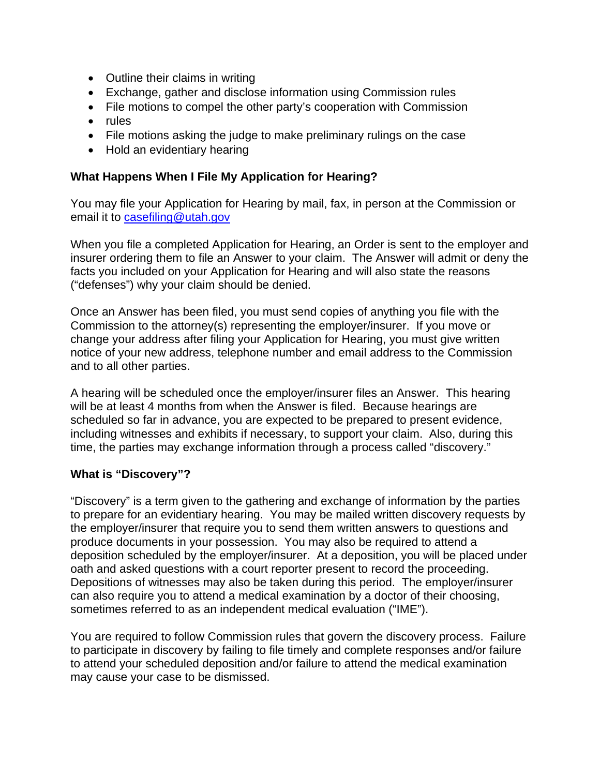- Outline their claims in writing
- Exchange, gather and disclose information using Commission rules
- File motions to compel the other party's cooperation with Commission
- rules
- File motions asking the judge to make preliminary rulings on the case
- Hold an evidentiary hearing

### **What Happens When I File My Application for Hearing?**

You may file your Application for Hearing by mail, fax, in person at the Commission or email it to [casefiling@utah.gov](mailto:casefiling@utah.gov) 

When you file a completed Application for Hearing, an Order is sent to the employer and insurer ordering them to file an Answer to your claim. The Answer will admit or deny the facts you included on your Application for Hearing and will also state the reasons ("defenses") why your claim should be denied.

Once an Answer has been filed, you must send copies of anything you file with the Commission to the attorney(s) representing the employer/insurer. If you move or change your address after filing your Application for Hearing, you must give written notice of your new address, telephone number and email address to the Commission and to all other parties.

A hearing will be scheduled once the employer/insurer files an Answer. This hearing will be at least 4 months from when the Answer is filed. Because hearings are scheduled so far in advance, you are expected to be prepared to present evidence, including witnesses and exhibits if necessary, to support your claim. Also, during this time, the parties may exchange information through a process called "discovery."

### **What is "Discovery"?**

"Discovery" is a term given to the gathering and exchange of information by the parties to prepare for an evidentiary hearing. You may be mailed written discovery requests by the employer/insurer that require you to send them written answers to questions and produce documents in your possession. You may also be required to attend a deposition scheduled by the employer/insurer. At a deposition, you will be placed under oath and asked questions with a court reporter present to record the proceeding. Depositions of witnesses may also be taken during this period. The employer/insurer can also require you to attend a medical examination by a doctor of their choosing, sometimes referred to as an independent medical evaluation ("IME").

You are required to follow Commission rules that govern the discovery process. Failure to participate in discovery by failing to file timely and complete responses and/or failure to attend your scheduled deposition and/or failure to attend the medical examination may cause your case to be dismissed.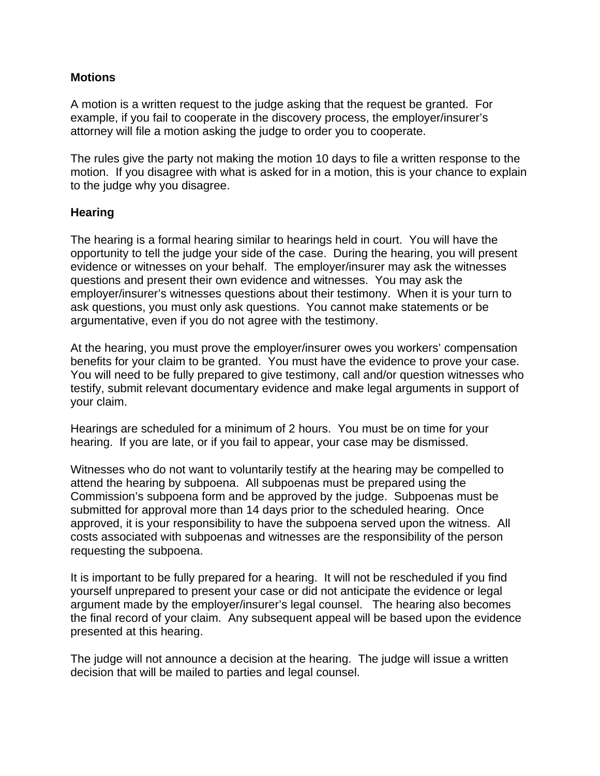#### **Motions**

A motion is a written request to the judge asking that the request be granted. For example, if you fail to cooperate in the discovery process, the employer/insurer's attorney will file a motion asking the judge to order you to cooperate.

The rules give the party not making the motion 10 days to file a written response to the motion. If you disagree with what is asked for in a motion, this is your chance to explain to the judge why you disagree.

#### **Hearing**

The hearing is a formal hearing similar to hearings held in court. You will have the opportunity to tell the judge your side of the case. During the hearing, you will present evidence or witnesses on your behalf. The employer/insurer may ask the witnesses questions and present their own evidence and witnesses. You may ask the employer/insurer's witnesses questions about their testimony. When it is your turn to ask questions, you must only ask questions. You cannot make statements or be argumentative, even if you do not agree with the testimony.

At the hearing, you must prove the employer/insurer owes you workers' compensation benefits for your claim to be granted. You must have the evidence to prove your case. You will need to be fully prepared to give testimony, call and/or question witnesses who testify, submit relevant documentary evidence and make legal arguments in support of your claim.

Hearings are scheduled for a minimum of 2 hours. You must be on time for your hearing. If you are late, or if you fail to appear, your case may be dismissed.

Witnesses who do not want to voluntarily testify at the hearing may be compelled to attend the hearing by subpoena. All subpoenas must be prepared using the Commission's subpoena form and be approved by the judge. Subpoenas must be submitted for approval more than 14 days prior to the scheduled hearing. Once approved, it is your responsibility to have the subpoena served upon the witness. All costs associated with subpoenas and witnesses are the responsibility of the person requesting the subpoena.

It is important to be fully prepared for a hearing. It will not be rescheduled if you find yourself unprepared to present your case or did not anticipate the evidence or legal argument made by the employer/insurer's legal counsel. The hearing also becomes the final record of your claim. Any subsequent appeal will be based upon the evidence presented at this hearing.

The judge will not announce a decision at the hearing. The judge will issue a written decision that will be mailed to parties and legal counsel.